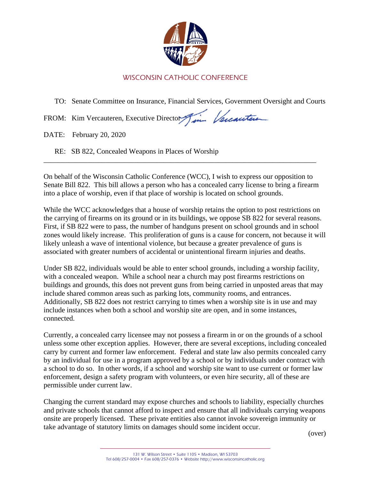

## WISCONSIN CATHOLIC CONFERENCE

TO: Senate Committee on Insurance, Financial Services, Government Oversight and Courts

in Vercanters FROM: Kim Vercauteren, Executive Director

DATE: February 20, 2020

RE: SB 822, Concealed Weapons in Places of Worship

On behalf of the Wisconsin Catholic Conference (WCC), I wish to express our opposition to Senate Bill 822. This bill allows a person who has a concealed carry license to bring a firearm into a place of worship, even if that place of worship is located on school grounds.

\_\_\_\_\_\_\_\_\_\_\_\_\_\_\_\_\_\_\_\_\_\_\_\_\_\_\_\_\_\_\_\_\_\_\_\_\_\_\_\_\_\_\_\_\_\_\_\_\_\_\_\_\_\_\_\_\_\_\_\_\_\_\_\_\_\_\_\_\_\_\_\_\_\_\_

While the WCC acknowledges that a house of worship retains the option to post restrictions on the carrying of firearms on its ground or in its buildings, we oppose SB 822 for several reasons. First, if SB 822 were to pass, the number of handguns present on school grounds and in school zones would likely increase. This proliferation of guns is a cause for concern, not because it will likely unleash a wave of intentional violence, but because a greater prevalence of guns is associated with greater numbers of accidental or unintentional firearm injuries and deaths.

Under SB 822, individuals would be able to enter school grounds, including a worship facility, with a concealed weapon. While a school near a church may post firearms restrictions on buildings and grounds, this does not prevent guns from being carried in unposted areas that may include shared common areas such as parking lots, community rooms, and entrances. Additionally, SB 822 does not restrict carrying to times when a worship site is in use and may include instances when both a school and worship site are open, and in some instances, connected.

Currently, a concealed carry licensee may not possess a firearm in or on the grounds of a school unless some other exception applies. However, there are several exceptions, including concealed carry by current and former law enforcement. Federal and state law also permits concealed carry by an individual for use in a program approved by a school or by individuals under contract with a school to do so. In other words, if a school and worship site want to use current or former law enforcement, design a safety program with volunteers, or even hire security, all of these are permissible under current law.

Changing the current standard may expose churches and schools to liability, especially churches and private schools that cannot afford to inspect and ensure that all individuals carrying weapons onsite are properly licensed. These private entities also cannot invoke sovereign immunity or take advantage of statutory limits on damages should some incident occur.

(over)